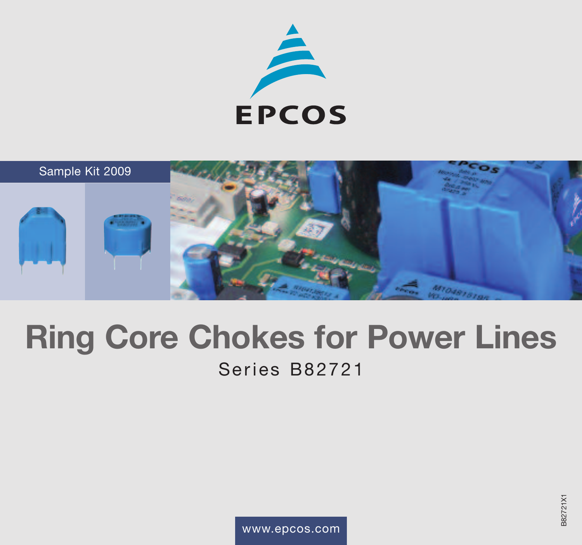



# **Ring Core Chokes for Power Lines**

# Series B82721

www.epcos.com